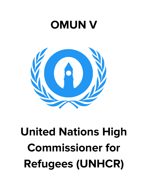# **OMUN V**



# **United Nations High Commissioner for Refugees (UNHCR)**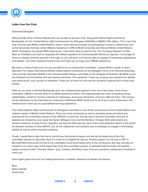

# **Letter from the Chair**

#### Esteemed Delegates,

Welcome! My name is Rohun Nanda and I am ecstatic to be your chair, along with Fatima Fadel and Krishna Bambawale, for the United Nations High Commissioner for Refugees (UNHCR) at OMUN's fifth edition. This is my third year involved with Model United Nations where I have had the privilege of participating in several conferences such as the Secondary Schools United Nations Symposium 2019 at McGill University and Harvard Model United Nations 2020. Throughout my vibrant MUN adventures, I have been able to travel to the "Far, Far Away Galaxies" of Star Wars as Chewbacca as well as negotiate the athlete regulation at Commonwealth Games as Uganda. I encourage all of you to deeply immerse yourself in this topic as you will learn a lot and be able to engage in interesting negotiations and debate. I am really looking forward to this and hope you all enjoy your OMUN experience.

My name is Fatima Fadel and I am very excited to be co-chairing this committee. I started MUN in grade 11 when I attended The Hague International Model United Nations conference as the delegate of Iran in the General Assembly. I also recently attended SSUNS in the Commonwealth Games committee as the delegate of Scotland. My MUN career has fostered new friendships and ever-lasting memories. This weekend, I hope you all grow your passions for debate and world issues, and, equally as important, I hope you all have fun and use this wonderful opportunity to make new friends.

Hello all, my name is Krishna Bambawale and I am unequivocally euphoric to be one of the three chairs of this committee. OMUN V was the birth of my MUN experience where I first apprehended the value of building strong relationships, rooted in common interests for diplomacy, all-around interaction, and just a little bit of fun. This spring, I will be attending my first international conference at Berkeley MUN. Good luck to all of you in your endeavours this weekend and I wish you an unparalleled learning experience.

The United Nations High Commissioner for Refugees committee is one of the cornerstones of the United Nations and indeed a staple of Model United Nations. There are many underlying as well as pressing issues set before you entering the first committee session of the UNHCR. In particular, the two topics that this committee will work to dissolve are divided by case study: the Syrian Refugee Crisis and the Northern Triangle. Both phenomena are modern instances of mass human migration, yet face the blind eye by some of the most powerful nations in the world. As devoted members of the UNHCR, you all will collaborate and combine your knowledge to engage in stimulating debate as well as mold innovative solutions.

Finally, I would like to take the time to remind you that position papers are due by the beginning of the first committee session on Saturday, April 4 in order to be eligible for awards. Position papers can be sent in PDF or Microsoft Word Document format to the committee email found below prior to the conference, but they can also be handed in as a hard copy at the beginning of the first committee session. If submitted electronically, the position papers should be titled "Country\_Name", (e.g.: Canada\_JohnDoe). If you have any questions, please don't hesitate to reach out.

Once again good luck and I am looking forward to a fantastic weekend of debate and finesse.

Best, Rohun Nanda Head Chair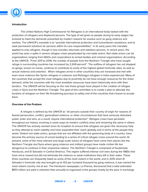

## **Introduction**

The United Nations High Commissioner for Refugees is an international body tasked with the protection of refugees and displaced persons. The type of aid given to people during its early stages has evolved to meet the demands presented by modern reasons for exodus such as gang violence and warfare. The UNHCR's mandate is to "provide international protection and humanitarian assistance, and to seek permanent solutions for persons within its core responsibilities". In its early years this mandate applied to only refugees, though it now includes returnees and stateless persons. In recent years, the world has seen a spike in severe refugee crises perpetuated by non-state actors. Non-state actors can be organizations ranging from NGOs and corporations to armed bodies and criminal organizations. According to the UNHCR, "From 2011 to 2016, the number of people from the Northern Triangle who have sought refuge in surrounding countries has increased by 2,249 percent". The outflow of refugees has not stopped as gangs, known as maras, continue to contribute to some of the highest global homicide rates, as well as sexual violence and extortion. When refugees arrive in other countries they are harassed and met with even more violence like Syrian refugees in Lebanon and Rohingya refugees in India experienced. Many of the countries that accept the most refugees due to proximity do not have enough resources for the sheer demand, while the countries with the most available resources have been historically strict with their borders. The UNHCR will be focusing on the role these groups have played in the creation of refugee crises in Syria and the Northern Triangle. The goal of this committee is to create a plan to alleviate the burdens of refugees on their life threatening journeys to safety and of the countries that choose to accept them.

## **Overview of the Problem**

A refugee is defined by the UNHCR as "all persons outside their country of origin for reasons of feared persecution, conflict, generalized violence, or other circumstances that have seriously disturbed public order and who, as a result, require international protection". Refugee crises have persisted throughout our history, evolving in some ways as modern conflicts arise and remaining the same in others. The UNHCR has actively worked since its inception to ensure that refugees are given the necessary help as they attempt to reach stability and have expanded their reach globally and in terms of the people they assist. Violent non-state actors, groups that are not affiliated with the governing body of a country, have become the primary source of unrest leading to a series of critical refugee crises around the world. At present, some of the most relevant and large-scale waves of refugees have come from places like the Northern Triangle and Syria where gang violence and militant groups have made civilian life too dangerous to continue in their respective nations. The Northern Triangle is comprised of Guatemala, Honduras, and El Salvador in Central America. This region suffered intense civil wars during the 1980s that have since ceased but did not eliminate the violence or weak institutions they left in their wake. These three countries are frequently listed as some of the most violent in the world, and in 2015 when El Salvador's homicide rate was brought up to 103 per hundred thousand by gang violence, it was named the most violent country not at war. The Honduran newspaper, La Prensa, discovered that a total estimated \$651 million are paid in extortion fees annually to organized crime groups mostly by the poor in exchange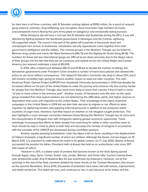

for their lives in all three countries, with El Salvador ranking highest at \$390 million. As a result of rampant gang violence, extortion, drug trafficking, and corruption, there have been high numbers of mostly unaccompanied minors fleeing this part of the globe on dangerous and emotionally taxing journeys.

While Honduras did not have a civil war like El Salvador and Guatemala during the 80's, it was still affected by fighting between the Sandinista government in Nicaragua and the Contras, rightwing, US-supported rebels. The unrest in this part of the globe left hundreds of thousands dead and unemployed men armed. In Guatemala, clandestine security apparatuses came together from both government intelligence and the military. The criminal groups in the Northern Triangle can be linked to Mexican drug cartels and maras like Mara Salvatrucha (MS-13) and the Eighteenth Street Gang (M-18). The numbers for these last two international gangs are difficult to pin down precisely due to the illegal nature of their groups and the fact that they are so numerous and spread across the United States and Central America, but research estimates a total of 85,000.

In 2014, after a failed truce between MS-13 and M-18 led to double the number of killings, the Salvadoran government under President Ceren enacted a number of mano dura policies that allowed the police to use force without consequence. This helped El Salvador's homicide rate drop to about 25%, but it still remains incredibly high, giving its citizens another reason to seek out safer countries. The Latin American Public Opinion Project (LAPOP) from Vanderbilt University demonstrated in 2014 that despite the increased efforts on the part of the United States to make the journey and entrance into the country harder for people from the Northern Triangle, they were more likely to leave their country if they'd been a victim "of one or more crimes in the previous year". Another survey, of Hondurans only this time, by the same group revealed that most asylum-seekers are not deterred by the difficulties, perils, and higher chances of deportation that come with migration to the United States. Their knowledge of the highly restrictive campaigns in the United States in 2014 did not alter their decision to migrate or not. Efforts to deter migration by tightening borders and applying external pressures in addition to the pressures within countries of origin have, therefore, had little impact on whether or not refugees sought protection. This also highlights a much stronger connection between those fleeing the Northern Triangle due to crime and the characteristics of refugees than with immigrants seeking greater economic opportunity. These seemingly inconsequential efforts to deter people from searching for safety in other countries seem to have should be kept in mind as plans to both help and decrease the number of refugees in accordance with the mandate of the UNHCR are developed during committee sessions.

Another equally pressing humanitarian crisis has taken a toll on Syria, resulting in the displacement of millions of people, a significant number of which are children. Although the Syrian civil war began on 15 March 2011, it is important to understand this event in its global context. On 17 July 2000, Bashar al-Assad succeeded the position his father, President Hafiz al-Assad had held as an authoritarian ruler since 1971 with hopes of reform.

However in 2011, a sudden wave of protests that became known as the Arab Spring spread through Egypt, Libya, Syria, Yemen, Sudan, Iraq, Jordan, Bahrain, and Oman after Tunisia's twenty-three year dictatorship under Zine El Abidene Ben Ali was overthrown by protestors. However, not all the uprisings in the rest of the Arab countries yielded the same results as the Tunisian Revolution, also known as the Jasmine Revolution. Since 2010, thousands of protesters have been met with torture, imprisonment, and death sentences. The death toll rose, and continues to rise, in part because of air strikes and the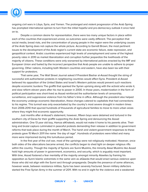

ongoing civil wars in Libya, Syria, and Yemen. The prolonged and violent progression of the Arab Spring has prompted international opinion to turn from the initial hopeful and pro-democracy outlook it once held on to.

Despite a common desire for representation, there were too many unique factors in place within each of the countries that experienced unrest, so outcomes were vastly different. The perception that social media, bread riots, and the concentration of young people in the region were the underlying causes of the Arab Spring does not capture the whole picture. According to Garrett Brown, the most pertinent issues to the development of the Arab region's current state are economic failure, state repression, and geopolitical context. Arabic countries experienced high levels of unemployment and some of the highest poverty rates in 2010 as market liberalization and corruption further jeopardize the livelihoods of the majority of citizens. These conditions were only worsened by international policies enacted by the IMF and European Union and fueled by the incorrect perspective that Arab people are unable to adhere to proper governing. Other nations, including both Western countries and eastern, have also been lax with their support for protestors.

That same year, The Wall Street Journal asked if President Bashar al-Assad thought the string of successful anti-authoritarian protests in neighboring countries would affect Syria. President al-Assad believed his opposition of the United States and Israel's Western policies would prevent such reactions despite economic burdens The graffiti that sparked the Syrian uprising along with the activist who wrote it, and slow reform eleven years after his rise to power in 2000. In those years, modernization in the form of political participation was short-lived as Assad reinforced the authoritarian levels of censorship, surveillance, and suppressive violence from his father's time in office. Although the president also helped the economy undergo economic liberalization, these changes catered to capitalists that had connections to his regime. This turmoil was only exacerbated by the country's most severe drought in modern times from 2006-2010 that spurred hundreds of thousands of agricultural families to move to more urban areas where they might find economic opportunity.

Just months after al-Assad's statement, however, fifteen boys were detained and tortured in the southern city of Daraa for their graffiti supporting the Arab Spring and denouncing the Assad administration. One 13 year old boy, Hamza alKhateeb, would not make it home to his parents alive. Their long and brutal capture culminated in peaceful protests demanding their release in addition to government reforms that took place during the month of March. The harsh and violent government responses to these protests gave 15 March 2011 the name `the day of rage". Hundreds of protestors were killed and many more were imprisoned during this tumultuous period.

In the first year of the civil war, most of the uprisings were not religiously motivated. However, once both sides of the altercations became armed, the conflicts began to shed light on deeper religious rifts within the country. Though the majority of Syrians are Sunni Muslims, the minority Alawi Muslims like Assad hold high amounts of power in government, economics, and security, which is arguably most important. With time, Assad fostered a fear mentality of the majority amongst minority Alawites by framing his opposition as Sunni Islamic extremists in the same vein as alQaeda that would enact serious violence upon those who did not align with the Sunni sect through propaganda. Despite the presence of some alliances, however weak, between resistance militias, Syria has been severely fractured. Seven military defectors started the Free Syrian Army in the summer of 2011. With no end in sight for the violence and a weakened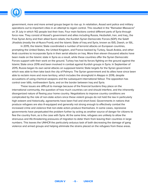

government, more and more armed groups began to rise up. In retaliation, Assad sent police and military operations out to important cities in an attempt to regain control. This resulted in the "Ramadan Massacre" on 31 July in which 142 people lost their lives. Four main factions control different parts of Syria through force now. They consist of Assad's government and allies including Russia, Hezbollah, Iran, and Iraq,; the Free Syrian Army and their allied Sunni rebels; the Kurdish Syrian Democratic Forces (SDF); the Salafi Jihadists (mostly the al-Nusra Front); and the Islamic State of Iraq and Syria, known as ISIS, Daesh, or ISIL.

In 2015, the Islamic State coordinated a number of terrorist attacks on European countries, prompting the United States, the United Kingdom, and France backed by Turkey, Saudi Arabia, and other Arab countries to incorporate Syria in their aerial attacks on Iraq. More than eleven thousand attacks have been made on the Islamic state in Syria as a result, while these countries offer the Syrian Democratic Forces support with their work on the ground. Turkey has had its forces fighting on the ground against the Islamic State since 2016 and been involved in combat against Kurdish groups in Syria. In September of 2015, Russia began its own aerial attacks on supposed Islamic State targets for the Syrian government which was able to then take back the city of Palmyra. The Syrian government and its allies have since been able to reclaim more and more territory, which includes the stronghold in Aleppo in 2016, despite accusations of using chemical weapons and the subsequent international fallout. The opposition has control over Idlib, northwestern Syria, and on the border between Iraq and Syria.

These issues are difficult to manage because of the financial burdens they place on the international community, the question of how much countries can and should interfere, and the inherently disorganized nature of fleeing your home country. Negotiations to improve country conditions are complicated by the role of non-state actors since these violent groups do not hold the law in particularly high esteem and historically, agreements have been frail and short-lived. Governments in nations that produce refugees are also ill-equipped and generally not strong enough to effectively combat the increased crime and violence that non-state actors produce themselves. In some cases, repressive governments have perpetuated the problem further by acting as another source of danger for citizens to flee the country from, as is the case with Syria. At the same time, refugees are unlikely to allow the strenuous and life-threatening pressures of migration to deter them from leaving their countries in large numbers. This leaves the UNHCR the particularly arduous task of both decreasing the damage of gang violence and armed groups and helping eliminate the strains placed on the refugees from these areas.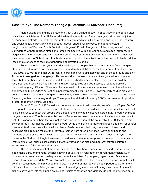

# **Case Study 1: The Northern Triangle (Guatemala, El Salvador, Honduras)**

Mara Salvatrucha and the Eighteenth Street Gang gained traction in El Salvador in the period after its civil war, which lasted from 1980 to 1992, when the established Salvadoran gangs dissolved or joined demobilization efforts. The civil war "prompted an estimated one million Salvadorans to flee their country and seek shelter…particularly in the already impoverished, over-crowded, and gang-affected neighborhoods of East and South Central Los Angeles". Ronald Reagan's policies on asylum left many Salvadorans without refugee status and forced them to live with high economic and social burdens. The Illegal Immigration Reform and Immigrant Responsibility Act of 1996 allowed the government to increase their deportations of Salvadorans that had come as a result of the spike in American xenophobia by adding less serious offenses to the list of deportable aggravated felonies.

Some of the deported youth introduced the young people that had stayed to the American gang lifestyles they'd found in LA. They slowly began to identify with MS-13 or the Eighteenth Street Gang, and "[b]y 1996, a survey found that 86 percent of participants were affiliated with one of these groups and only 14 percent belonged to other gangs". This wave did not develop because of invigorated recruitment or force, but rather because El Salvador and its neighbors had become a place where gangs could thrive. In fact, most deportees were not criminals and even less (0.97% of a 2004 survey's responders) were deported for gang affiliation. Therefore, the increase in crime requires more research and the influence of deportees on El Salvador's current criminal environment is still unclear. However, early studies did explain some of the main contributors of gang involvement, finding the emotional and social gains to be incentives for joining rather than money or drugs. These priorities shifted in the early 2000's and seemed to provide greater fodder for criminal violence.

From 2003 to 2012, El Salvador experienced an intentional homicide rate of about 103 per 100,000 of its people. For reference, a yearly rate of above 10 is seen as an epidemic in most circumstances. In fact, "official statistics suggest that around two-thirds of the many homicides registered in 2015 were committed by gang members". The Salvadoran Minister of Defense estimated the amount of active mara members in just El Salvador outnumbers the total police and army population of the country by 10,000. Members are concentrated in low-income urban areas, though some are moving to more rural areas, and fight for control over what territories they will rule with violence. Resistors are killed, drug deals are brokered, and assassins are hired, but most of their revenue comes from extortion. In many ways, their habits and methods of control are very similar to those of non-state actors in armed conflicts, such as in Syria. The maras in the Northern Triangle have even moved from homemade weapons and knives to more industrial instruments of war such as assault rifles. Mara Salvatrucha has also begun to orchestrate scattered assassinations of the police and military.

The response of most of the governments in the Northern Triangle to increased gang violence has been mano dura, or firm hand, policies allowing equally harsh retaliation by government officials. Such policies have been deemed inadequate and even incentivized further gang organization. Salvadoran prisons have segregated the Mara Salvatrucha and Barrio-18 which has resulted in their transformation into communication hubs for imprisoned members. The extent of their power is not impeded by government officials in the Northern Triangle due to corruption and gang members infiltrating their ranks. As a result, citizens have very little faith in the police, and victims of extortion and violence do not report crimes out of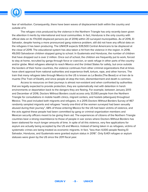

fear of retribution. Consequently, there have been waves of displacement both within the country and outside of it.

The refugee crisis produced by the violence in the Northern Triangle has only recently been given the attention it merits by international and local communities. In fact, Honduras is the only country with official data on its 174,000 displaced persons (as of 2014) within 20 surveyed municipalities. As of 2016, El Salvador, despite having a more pronounced gang violence problem, still did not have any official data on the refugees it has been producing. The UNHCR expects 539,500 Central Americans to be displaced at the close of 2019. The educational system has also taken a hit from the violence in the region. In 2018, 49,000 Salvadoran children stopped going to school. In Guatemala and Honduras, the number of children that have dropped out is over 2 million. Once out of school, the children are frequently put to work, forced to stay at home, recruited by gangs through force or coercion, or seek refuge in other parts of the country and/or globe. Most refugees attempt to reach Mexico and the United States for safety, but once outside the borders of their home countries, the violence continues from other criminal organizations that at times have silent approval from national authorities and experience theft, torture, rape, and other horrors. The train that many refugees take through Mexico to the US is known as La Bestia (The Beast) or el tren de la muerte (The Train of Death), and since people sit atop the train, dismemberment and death is common.

Access to resources on their journeys is almost non-existent and when confronted by authorities that are legally expected to provide protection, they are systematically met with detention in harsh environments or deportation back to the dangers they are fleeing. For example, between January 2013 and December of 2016, Doctors Without Borders could access only 33,593 people from the Northern Triangle for consultations in mobile health clinics, migrant centers, and hostels (albergues) throughout Mexico. This pool included both migrants and refugees. In a 2015 Doctors Without Borders Survey of 467 randomly sampled migrants and refugees "nearly one-third of the women surveyed had been sexually abused during their journey", 68% of those entering Mexico for the US had been victims of violence, and the acts against these people had been committed by gang or criminal organization members and Mexican security officers meant to be giving them aid. The experiences of citizens of the Northern Triangle countries bear a strong resemblance to those of people in war zones where Doctors Without Borders has been stationed for much longer amounts of time. In spite of all this violence, very few applications for asylum are actually being accepted by the US and Mexico. Instead of being taken in as refugees, victims of systematic crimes are being treated as economic migrants. In fact, "less than 4,000 people fleeing El Salvador, Honduras, and Guatemala were granted asylum status in 2016". Only 9,401 refugee or asylum statuses were given by the US since the 2011 fiscal year.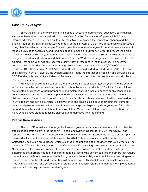

# **Case Study 2: Syria**

Since the start of the civil war in Syria, points of access to medical care, education, basic utilities, and water have either been impaired or broken. Over 5 million Syrians are refugees, while 6.2 are internally displaced. Half are children. In 2012, most Syrians escaped the conflict to Lebanon and the originally temporary Za'atari camp was opened in Jordan. In April of 2013, President Assad was accused of using chemical attacks on his people. The next year, the amount of refugees in Lebanon was estimated to make up 25% of its population, and refugees began to make it to Europe. In order to prevent them from making it, however, Hungary created a border wall and closed its borders to Serbia in 2015. Furthermore, refugees in Jordan and Lebanon had their rations from the World Food program cut because of a lack of funding. That same year, Greece received a daily inflow of refugees in the thousands. The next year, Jordan closed its border due to a car bombing, creating a no man's land where 40,000 refugees still reside in 2019. At the end of 2018, US President Donald Trump decided to withdraw the 2,000 US troops still stationed in Syria. However, the United States still leads the international coalition and provides aid to SDF. Flooding this year in Syria, Lebanon, Turkey, and Jordan has ruined tent settlements and displaced refugees once more.

From October 2011 to December 2016, the United States allowed 18,000 Syrians into the country, while much smaller and less wealthy countries such as Turkey have admitted 3.6 million. Syrian children are affected by diseases without proper care and malnutrition. The lack of effective or any sanitation in some areas has resulted in the development of diseases such as cholera. Due to the lack of income, children are also forced to work to help support their families and have been recruited by the armed forces in Syria to fight and serve as shields. Sexual violence and abuse is also abundant within the cramped camps and parents have sometimes been forced to arrange marriages for girls as young as 13 in order to support themselves and protect them from molestation. Many Syrian children do not go to school and many schools have stopped teaching classes due to damages from the fighting.

# **Past and Ongoing Action**

The UNHCR as well as other organizations and governments have made attempts to combat the effects of non-state actors in the Northern Triangle and Syria. In December of 2014, the UNHCR and representatives from 28 Latin American and Caribbean countries and 3 territories met to discuss a plan for internal displacement and to end statelessness by 2024. This was also made on the anniversary of the Cartagena Declaration on Refugees, which expanded the definition of a refugee within Latin America. The meeting in 2014 was the culmination of the "Cartagena +30", entailing consultations in Argentina, Ecuador, Nicaragua, and the Cayman Islands with governments, organizations, and other authorities It was determined that borders needed to be strengthened by identifying asylum seekers and others that require protection in an efficient manner and upholding non-refoulement obligations, which state that refugees or asylum seekers not be returned where they will be persecuted. This took form in the Quality Asylum Programme and called for a consolidation of status determination systems and methods to implement free representation for asylum-seekers and refugees.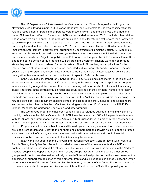

The US Department of State created the Central American Minors Refugee/Parole Program in November 2014 allowing minors in El Salvador, Honduras, and Guatemala to undergo consideration for refugee resettlement or parole if their parents were present lawfully and the child was unmarried and under 21. It went into effect on December 1, 2014 and expanded November 2016 to include other relatives. Those who were able to enroll in the program but couldn't apply for refugee status were then transferred to review for parole into the US. This allows people to enter the US, remain for a certain amount of time, and apply for work authorization. However, in 2017 Trump created executive order Border Security and Immigration Enforcement Improvements, ordering the Department of Homeland Security (DHS) to make sure that parole was only granted on a case-by-case basis when there was an individual with very urgent humanitarian needs or a "significant public benefit". In August of that year, the DHS Secretary, Elaine Duke, ended the parole portion of the program. So, if children in the Northern Triangle were denied refugee status they would not be considered for parole instead. Then in November, new applications for the refugee portion of the program were no longer accepted and interviews stopped in January of the next year. In 2018, the settlement of court case S.A. et al v. Trump meant that United States Citizenship and Immigration Services would reopen and continue with specific CAM parole cases.

In the 2016 Eligibility Report for El Salvador the UNHCR explained since maras in the region exert almost total control over all aspects of life of those living in the areas gang control, applications for people who are escaping gang-related persecution should be analyzed on grounds of political opinion in many cases. Therefore, in the context of El Salvador and countries like it in the Northern Triangle, "expressing objections to the activities of gangs may be considered as amounting to an opinion that is critical of the methods and policies of those in control, and thus, constitute a "political opinion" within the meaning of the refugee definition". This document explains some of the cases specific to El Salvador and its neighbors and contextualizes them within the definitions of a refugee under the 1951 Convention, the UNHCR's Broader Mandate, the Cartagena Declaration, and other grounds.

The World Food Programme has been sending food to refugees outside of Syria and within on a monthly basis since the civil war's inception in 2011. It reaches more than 300 million people each month with its 50 local and international partners. A total of 4,600 trucks "deliver emergency food assistance to 900 distribution points in all 14 governorates". In the more difficult to access areas with acute needs for aid, the Programme utilizes a combination of airlifts, airdrops, and convoys to send food. Other deliveries are made from Jordan and Turkey to the northern and southern portions of Syria held by opposing forces. As a result of a lack of funding, calories have been reduced in the deliveries and should financial assistance not be increased, the amount of recipients may be lessened.

In 2017, the fifth update on the UNHCR's International Protection Considerations with Regard to People Fleeing the Syrian Arab Republic provided an overview of the developments since 2016 and contextualized the application of the refugee definition within Syria. Like with the situation in the Northern Triangle, people who oppose the government or any groups that are in locations where other armed groups are in control are deemed to be likely in need of international protection. In this case, however, the opposition or support can be aimed at three different fronts and still put people in danger, since the Syrian government is one of the armed forces at play. Furthermore, deserters of the Armed Forces and members of the media are also in danger and likely to need international support. In Syria, the opposing groups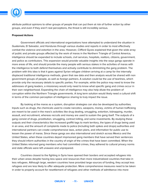

attribute political opinions to other groups of people that can put them at risk of further action by other groups, and even if they aren't real perceptions, the threat is still incredibly serious.

# **Proposed Actions**

Government officials and international organizations have attempted to understand the situation in Guatemala, El Salvador, and Honduras through various studies and reports in order to most effectively combat the violence and extortion in the area. However, Clifford Gyves explained that given the wide array of public and private groups affected by the work of maras in the Northern Triangle of Central America, intelligence should be expanded to include schools, civil services, hospitals, realtors, citizens, government, and police as contributors. This expansion would provide valuable insights into the ways gangs operate in more areas of life, and should provide the many people with serious stakes in the activities of maras with the intelligence to both defend themselves and actively contribute to diminishing the gang problem. The problem with this idea is that it goes against Syrian refugee children arriving at a camp for the internally displaced traditional intelligence methods, given that raw data and then analysis would be shared with non government groups of people, as well as foreign partners. A solution could be the use of tearlines, which provide only the necessary details to specific parties. For example, while the police may need to know the addresses of gang leaders, a missionary would only need to know what specific gang and crimes occur in their own neighborhood. Expanding the chain of intelligence may also help dilute the problem of corruption within the Northern Triangle governments. A long term solution would likely need a cultural shift in terms of the common perception of intelligence sharing to truly impact the issue.

By looking at the maras as a system, disruption strategies can also be developed by authorities. Inputs such as drugs, the chemicals used to create narcotics, weapons, money, victims of human trafficking are meant to be used in the mara's activities like drug dealing, smuggling, extortion, kidnapping, murder, assault, and recruitment, whereas recruits and money are used to sustain the gang itself. The outputs of a gang consist of drugs, prostitution, smuggling, contract killing, and some investments. By studying these outputs and their characteristics like increased graffiti tags to mark territory, the types of drugs being used in an area, and the amount of complaints made to police (including both spikes and drops) authorities and international partners can create comprehensive laws, action plans, and information for public use to lessen the power of maras. Since these gangs are also international and stretch across Mexico and the United States, when these countries deport imprisoned gang members that have served their sentences they should inform authorities in the country of origin of the crimes that have been committed. When the United States returned gang members who had committed crimes, they adhered to cultural privacy norms and state officials were left unaware and unprepared.

Countries closest to the fighting in Syria have opened their borders and accepted refugees into their urban areas despite having less space and resources than more industrialized countries that take in less refugees. Although large, western countries have provided large sources of funding, they accept less refugees and are less likely to offer adequate protection. More comprehensive measures need to be taken in order to properly account for resettlement of refugees and other methods of admittance into more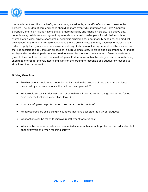

prepared countries. Almost all refugees are being cared for by a handful of countries closest to the borders. The burden of care and space should be more evenly distributed across North American, European, and Asian Pacific nations that are more politically and financially stable. To achieve this, countries may collaborate and agree to quotas, devise more inclusive plans for admission such as "humanitarian visas, private sponsorship, academic scholarships, labor mobility schemes, and medical evacuation". Rather than making refugees take the incredibly difficult journey overseas or across land in order to apply for asylum when the answer could very likely be negative, systems should be enacted so that it is possible to apply through embassies in surrounding states. There is also a discrepancy in funding at play and other developed countries need to make plans to even the amounts of financial assistance given to the countries that hold the most refugees. Furthermore, within the refugee camps, more training should be offered for the volunteers and staffs on the ground to recognize and adequately respond to situations of sexual assault.

## **Guiding Questions**

- To what extent should other countries be involved in the process of decreasing the violence produced by non-state actors in the nations they operate in?
- What would systems to decrease and eventually eliminate the control gangs and armed forces have over the livelihoods of civilians look like?
- How can refugees be protected on their paths to safe countries?
- What resources are still lacking in countries that have accepted the bulk of refugees?
- What actions can be taken to improve resettlement for refugees?
- What can be done to provide unaccompanied minors with adequate protection and education both on their travels and when reaching safety?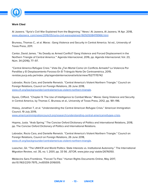

# **Work Cited**

Al Jazeera. "Syria's Civil War Explained from the Beginning." News | Al Jazeera, Al Jazeera, 14 Apr. 2018[,](http://www.aljazeera./) www.aljazeera. [com/news/2016/05/syria-civil-warexplained-160505084119966.html](http://www.aljazeera./).

Bruneau, Thomas C., et al. Maras : Gang Violence and Security in Central America. 1st ed., University of Texas Press, 2011.

Cantor, David James. "'As Deadly as Armed Conflict? Gang Violence and Forced Displacement in the Northern Triangle of Central America.'" Agenda Internacional, 2016, pp. Agenda Internacional; Vol. 23, Núm. 34 (2016); 77–97.

"Central America Refugee Crisis." Vista De ¿Tan Mortal Como Un Conflicto Armado? La Violencia Por Pandillas y El Desplazamiento Forzoso En El Triángulo Norte De Centroamérica, 2019, revistas.pucp.edu.pe/index. php/agendainternacional/article/view/15277/15742

Labrador, Rocio Cara, and Danielle Renwick. "Central America's Violent Northern Triangle." Council on Foreign Relations, Council on Foreign Relations, 26 June 2018, [www.cfr.org/backgrounder/centralamericas-violent-northern-triangle](http://www.cfr.org/backgrounder/centralamericas-violent-northern-triangle).

Gyves, Clifford. "Chapter 9: The Use of Intelligence to Combat Maras." Maras: Gang Violence and Security in Central America, by Thomas C. Bruneau et al., University of Texas Press, 2012, pp. 181–196.

Hiskey, Jonathan T, et al. "Understanding the Central American Refugee Crisis." American Immigration Council, 19 July 2019, [www.americanimmigrationcouncil.org/research/understanding-central-americanrefugee-crisis.](http://www.americanimmigrationcouncil.org/research/understanding-central-americanrefugee-crisis)

Hopma, Justa. "Arab Spring." The Concise Oxford Dictionary of Politics and International Relations, 2018, pp. The Concise Oxford Dictionary of Politics and International Relations.

Labrador, Rocio Cara, and Danielle Renwick. "Central America's Violent Northern Triangle." Council on Foreign Relations, Council on Foreign Relations, 26 June 2018, [www.cfr.org/backgrounder/centralamericas-violent-northern-triangle](http://www.cfr.org/backgrounder/centralamericas-violent-northern-triangle).

Loescher, Gil. "The UNHCR and World Politics: State Interests vs. Institutional Autonomy." The International Migration Review, vol. 35, no. 1, 2001, pp. 33 56. JSTOR, www.jstor.org/ stable/2676050.

Médecins Sans Frontières. "Forced To Flee." Human Rights Documents Online, May 2017, doi:10.1163/2210-7975\_hrd5559-2016005.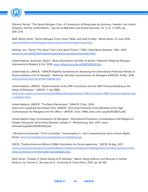

Ostrand, Nicole. "The Syrian Refugee Crisis: A Comparison of Responses by Germany, Sweden, the United Kingdom, and the United States." Journal on Migration and Human Security, vol. 3, no. 3, 2015, pp. 255–279.

Staff, World Vision. "Syrian Refugee Crisis: Facts, FAQs, and How to Help." World Vision, 21 June 2019, [www.worldvision.org/refugees-news-stories/syrianrefugee-crisis-facts](http://www.worldvision.org/refugees-news-stories/syrianrefugee-crisis-facts).

Sterling, Joe. "Daraa: The Spark That Lit the Syrian Flame." CNN, Cable News Network, 1 Mar. 2012, [www.cnn.com/2012/03/01/world/meast/syriacrisis-beginnings/index.html](http://www.cnn.com/2012/03/01/world/meast/syriacrisis-beginnings/index.html).

United Nations, Americas; Others. "Brazil Declaration and Plan of Action." Refworld, Regional Refugee Instruments & Related, 6 Oct. 2019, [www.refworld.org/docid/5487065b4.html.](http://www.refworld.org/docid/5487065b4.html)

United Nations, UNHCR. "UNHCR Eligibility Guidelines for Assessing the International Protection Needs of Asylum-Seekers from El Salvador." Refworld, UN High Commissioner for Refugees (UNHCR), 15 Mar. 2016, www.refworld.org/ [docid/56e706e94.html.](http://www.refworld.org/)

United Nations, UNHCR. "Implementation of the 1951 Convention and the 1967 Protocol Relating to the Status of Refugees." UNHCR, 7 July 1989, [www.unhcr.org/en-us/excom/scip/3ae68cbe4/implementation-1951-convention-1967-protocol-relating-statu](http://www.unhcr.org/en-us/excom/scip/3ae68cbe4/implementation-1951-convention-1967-protocol-relating-status-refugees.html%5C) [s-refugees.html\.](http://www.unhcr.org/en-us/excom/scip/3ae68cbe4/implementation-1951-convention-1967-protocol-relating-status-refugees.html%5C)

United Nations, UNHCR. "The Brazil Declaration." UNHCR, 3 Dec. 2014, www.unhcr.org/brazil-declaration.html. UNHCR. "Executive Summary of the Mandate of the High Commissioner for Refugees and His Office." UNHCR, 3 Dec. 1949, www.unhcr.org/5a1b53607.pdf).

United Nations High Commissioner for Refugees. "International Protection Considerations with Regard to People Fleeing the Syrian Arab Republic Update V." Refworld.org, Nov. 2017, www. refworld.org/pdfid/59f365034.pdf

"UN General Assembly / Third Committee." Humanrights.ch - the Comprehensive Swiss Human Rights Portal, [www.humanrights.ch/en/standards/un-institutions/ga/](http://www.humanrights.ch/en/standards/un-institutions/ga/).

USCIS. "Central American Minors (CAM): Information for Parole Applicants." USCIS, 16 Aug. 2017, [www.uscis.gov/humanitarian/22UnitedNationsHighCommissionerforRefugeeshumanitarian-parole/central](http://www.uscis.gov/humanitarian/22UnitedNationsHighCommissionerforRefugeeshumanitarian-parole/central-americanminors-cam-information-paroleapplicants.)[americanminors-cam-information-paroleapplicants.](http://www.uscis.gov/humanitarian/22UnitedNationsHighCommissionerforRefugeeshumanitarian-parole/central-americanminors-cam-information-paroleapplicants.)

Wolf, Sonja. "Chapter 2: Street Gangs of El Salvador." Maras: Gang Violence and Security in Central America, by Thomas C. Bruneau et al., University of Texas Press, 2012, pp. 43–69.